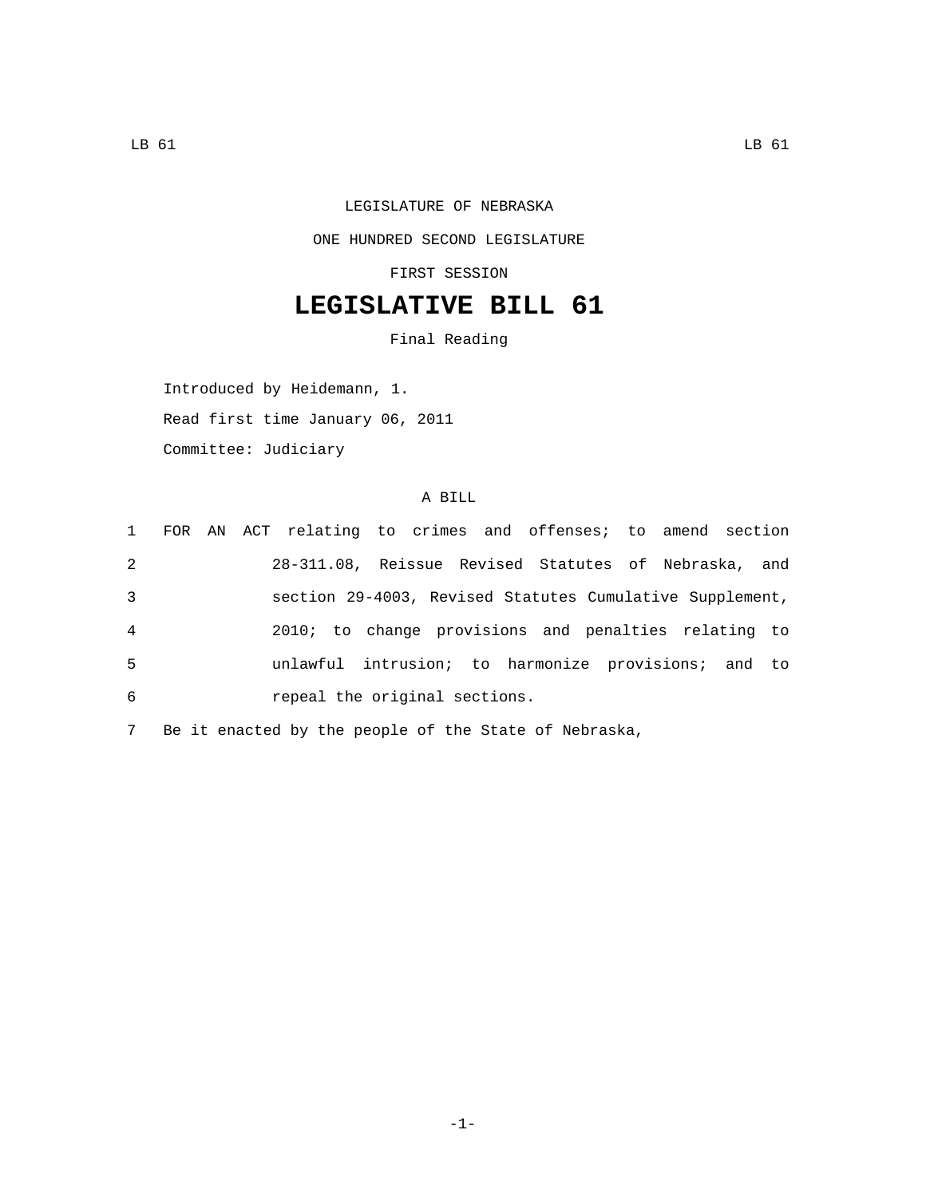## LEGISLATURE OF NEBRASKA ONE HUNDRED SECOND LEGISLATURE FIRST SESSION

## **LEGISLATIVE BILL 61**

Final Reading

Introduced by Heidemann, 1. Read first time January 06, 2011 Committee: Judiciary

## A BILL

|   |  | 1 FOR AN ACT relating to crimes and offenses; to amend section |  |  |  |
|---|--|----------------------------------------------------------------|--|--|--|
| 2 |  | 28-311.08, Reissue Revised Statutes of Nebraska, and           |  |  |  |
| 3 |  | section 29-4003, Revised Statutes Cumulative Supplement,       |  |  |  |
| 4 |  | 2010; to change provisions and penalties relating to           |  |  |  |
| 5 |  | unlawful intrusion; to harmonize provisions; and to            |  |  |  |
| 6 |  | repeal the original sections.                                  |  |  |  |
|   |  |                                                                |  |  |  |

7 Be it enacted by the people of the State of Nebraska,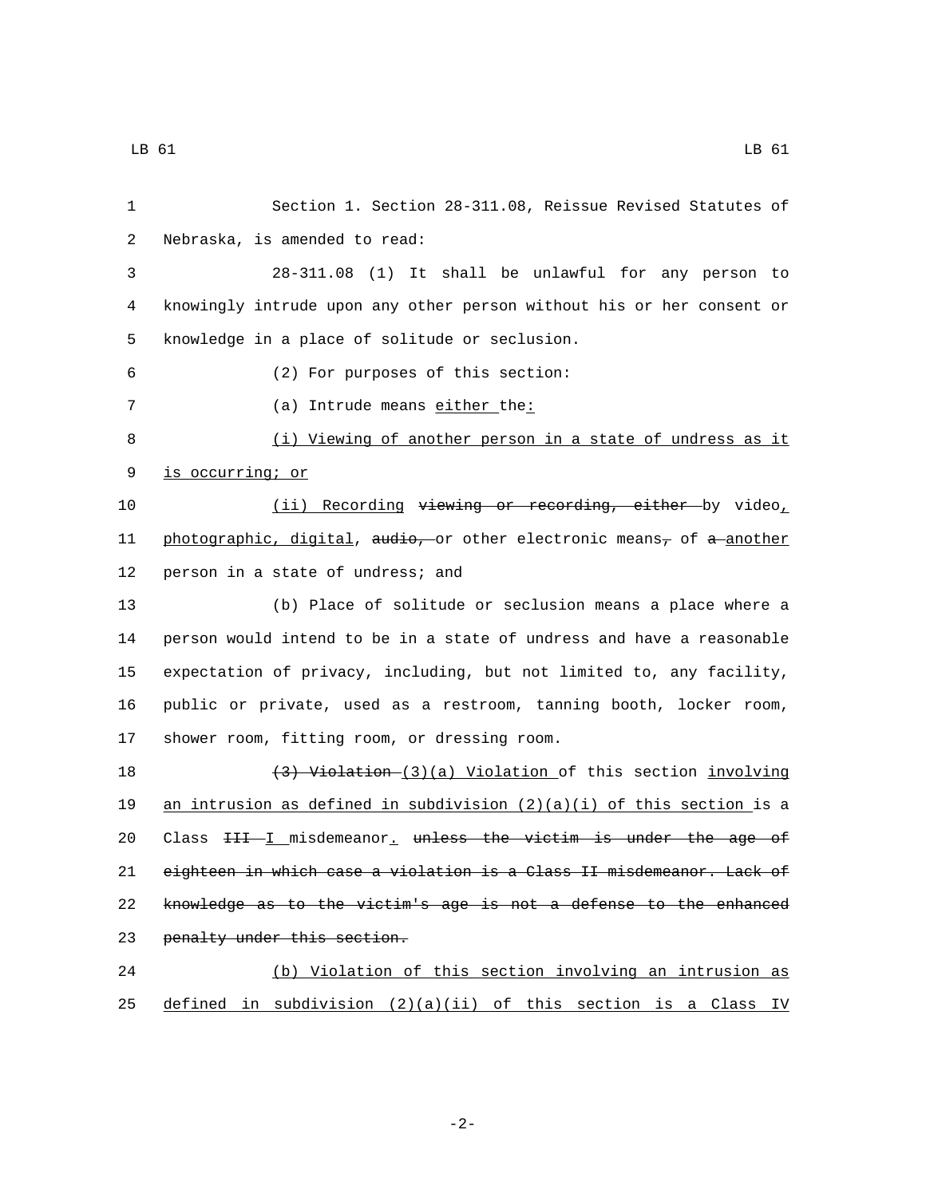1 Section 1. Section 28-311.08, Reissue Revised Statutes of 2 Nebraska, is amended to read: 3 28-311.08 (1) It shall be unlawful for any person to 4 knowingly intrude upon any other person without his or her consent or 5 knowledge in a place of solitude or seclusion. (2) For purposes of this section:6 7 (a) Intrude means either the: 8 (i) Viewing of another person in a state of undress as it 9 is occurring; or 10 (ii) Recording viewing or recording, either by video, 11 photographic, digital, audio, or other electronic means, of a another 12 person in a state of undress; and 13 (b) Place of solitude or seclusion means a place where a 14 person would intend to be in a state of undress and have a reasonable 15 expectation of privacy, including, but not limited to, any facility, 16 public or private, used as a restroom, tanning booth, locker room, 17 shower room, fitting room, or dressing room. 18 (3) Violation (3)(a) Violation of this section involving 19 an intrusion as defined in subdivision  $(2)(a)(i)$  of this section is a 20 Class  $H + I$  misdemeanor, unless the victim is under the age of 21 eighteen in which case a violation is a Class II misdemeanor. Lack of 22 knowledge as to the victim's age is not a defense to the enhanced 23 penalty under this section. 24 (b) Violation of this section involving an intrusion as 25 defined in subdivision  $(2)(a)(ii)$  of this section is a Class IV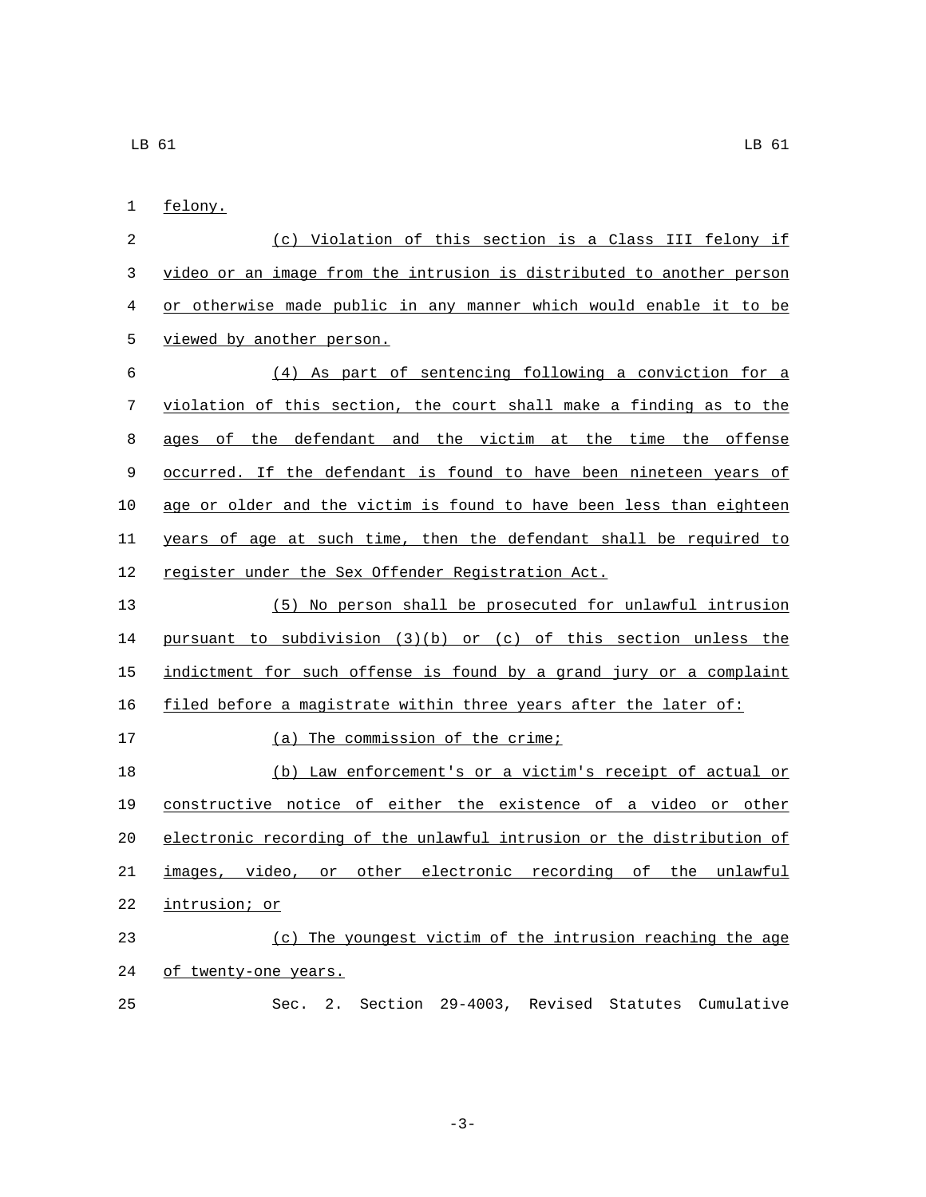1 felony.

| 2  | (c) Violation of this section is a Class III felony if                    |  |  |  |  |  |  |  |
|----|---------------------------------------------------------------------------|--|--|--|--|--|--|--|
| 3  | video or an image from the intrusion is distributed to another person     |  |  |  |  |  |  |  |
| 4  | or otherwise made public in any manner which would enable it to be        |  |  |  |  |  |  |  |
| 5  | viewed by another person.                                                 |  |  |  |  |  |  |  |
| 6  | (4) As part of sentencing following a conviction for a                    |  |  |  |  |  |  |  |
| 7  | violation of this section, the court shall make a finding as to the       |  |  |  |  |  |  |  |
| 8  | ages of the defendant and the victim at the time the offense              |  |  |  |  |  |  |  |
| 9  | <u>occurred. If the defendant is found to have been nineteen years of</u> |  |  |  |  |  |  |  |
| 10 | age or older and the victim is found to have been less than eighteen      |  |  |  |  |  |  |  |
| 11 | years of age at such time, then the defendant shall be required to        |  |  |  |  |  |  |  |
| 12 | register under the Sex Offender Registration Act.                         |  |  |  |  |  |  |  |
| 13 | (5) No person shall be prosecuted for unlawful intrusion                  |  |  |  |  |  |  |  |
| 14 | pursuant to subdivision $(3)(b)$ or $(c)$ of this section unless the      |  |  |  |  |  |  |  |
| 15 | indictment for such offense is found by a grand jury or a complaint       |  |  |  |  |  |  |  |
| 16 | filed before a magistrate within three years after the later of:          |  |  |  |  |  |  |  |
| 17 | (a) The commission of the crime;                                          |  |  |  |  |  |  |  |
| 18 | (b) Law enforcement's or a victim's receipt of actual or                  |  |  |  |  |  |  |  |
| 19 | constructive notice of either the existence of a video or other           |  |  |  |  |  |  |  |
| 20 | electronic recording of the unlawful intrusion or the distribution of     |  |  |  |  |  |  |  |
| 21 | images, video, or other electronic recording of the unlawful              |  |  |  |  |  |  |  |
| 22 | intrusion; or                                                             |  |  |  |  |  |  |  |
| 23 | (c) The youngest victim of the intrusion reaching the age                 |  |  |  |  |  |  |  |
| 24 | of twenty-one years.                                                      |  |  |  |  |  |  |  |
| 25 | 2.<br>Section 29-4003, Revised Statutes Cumulative<br>Sec.                |  |  |  |  |  |  |  |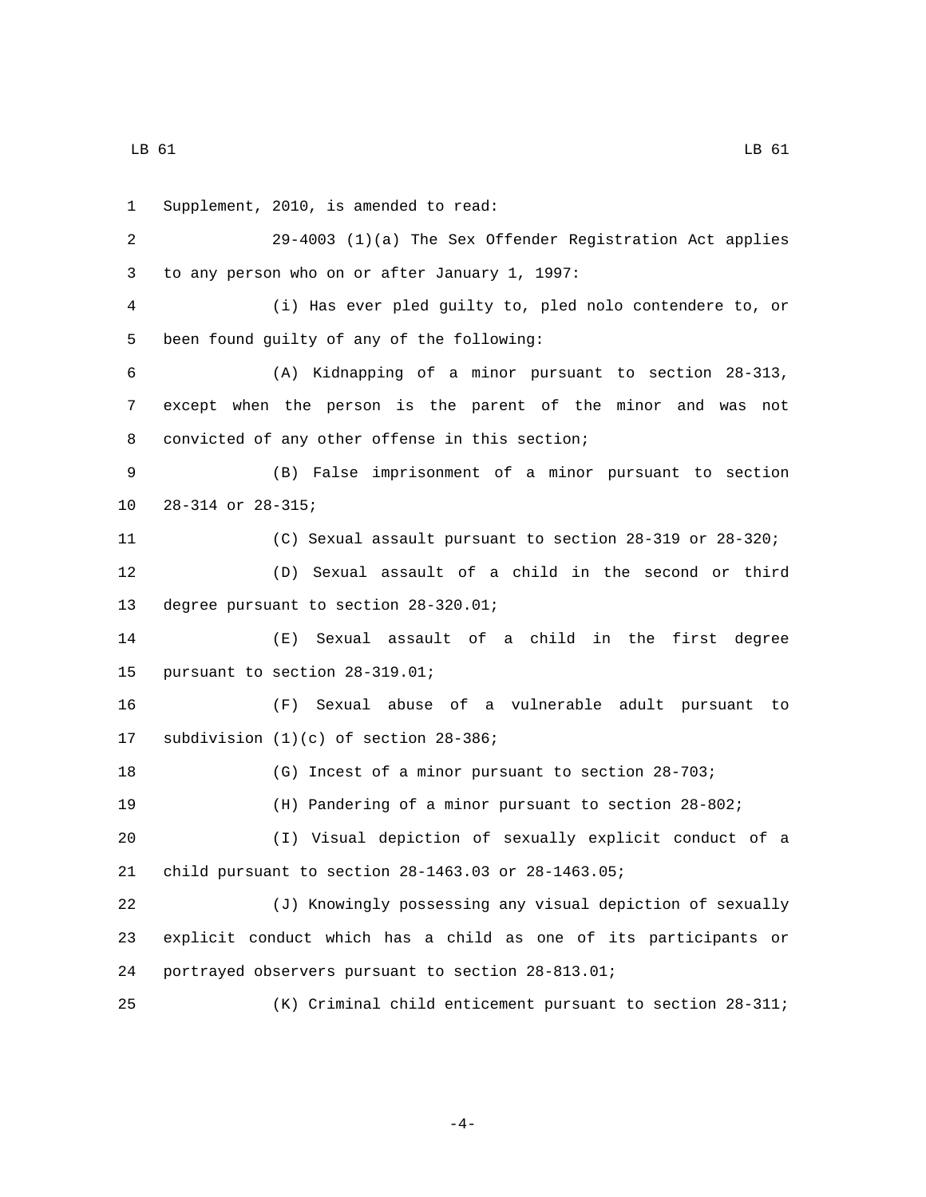LB 61 LB 61

1 Supplement, 2010, is amended to read: 29-4003 (1)(a) The Sex Offender Registration Act applies 3 to any person who on or after January 1, 1997: (i) Has ever pled guilty to, pled nolo contendere to, or 5 been found guilty of any of the following: (A) Kidnapping of a minor pursuant to section 28-313, except when the person is the parent of the minor and was not 8 convicted of any other offense in this section; (B) False imprisonment of a minor pursuant to section 10 28-314 or 28-315; (C) Sexual assault pursuant to section 28-319 or 28-320; (D) Sexual assault of a child in the second or third 13 degree pursuant to section 28-320.01; (E) Sexual assault of a child in the first degree 15 pursuant to section 28-319.01; (F) Sexual abuse of a vulnerable adult pursuant to 17 subdivision  $(1)(c)$  of section  $28-386$ ; (G) Incest of a minor pursuant to section 28-703; (H) Pandering of a minor pursuant to section 28-802; (I) Visual depiction of sexually explicit conduct of a child pursuant to section 28-1463.03 or 28-1463.05; (J) Knowingly possessing any visual depiction of sexually explicit conduct which has a child as one of its participants or portrayed observers pursuant to section 28-813.01; (K) Criminal child enticement pursuant to section 28-311;

-4-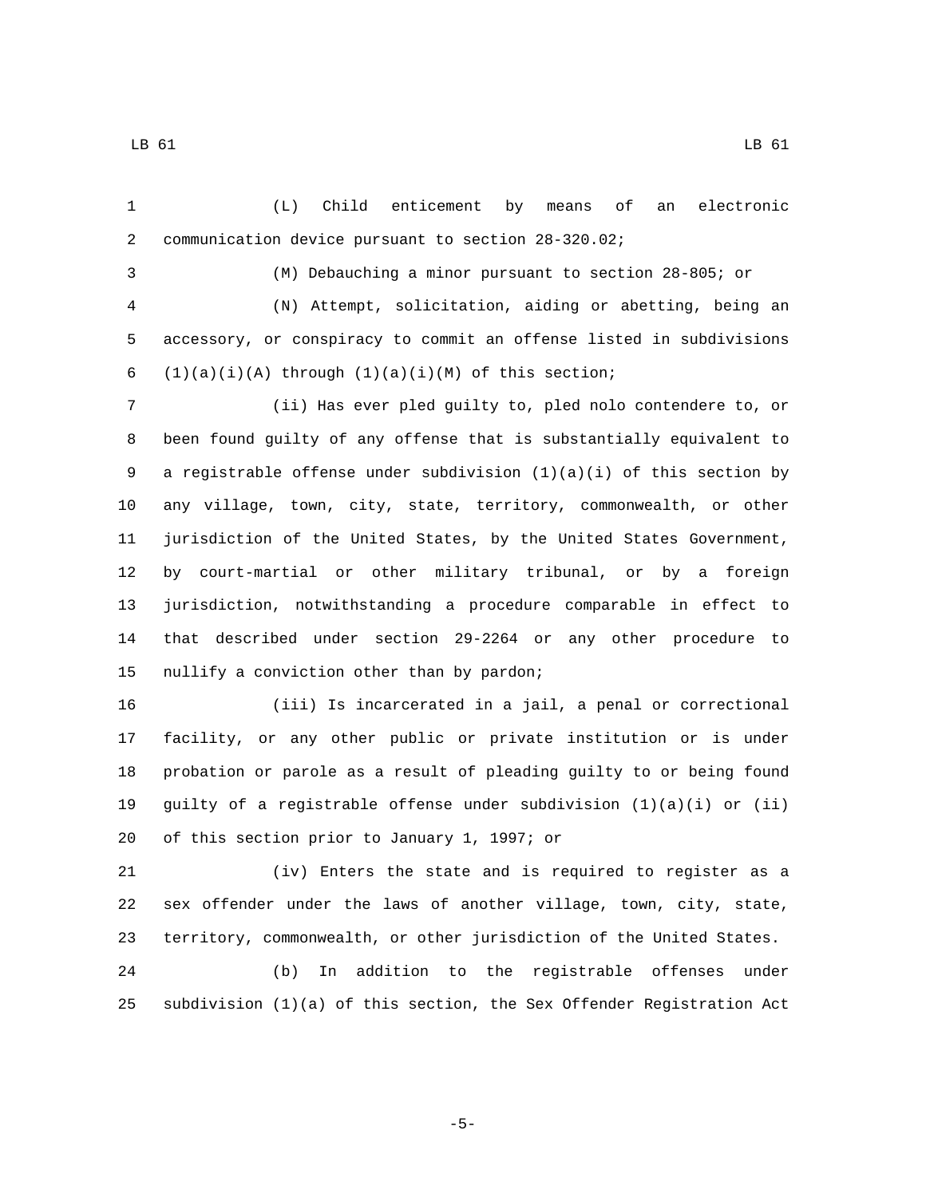(L) Child enticement by means of an electronic communication device pursuant to section 28-320.02;

(M) Debauching a minor pursuant to section 28-805; or

 (N) Attempt, solicitation, aiding or abetting, being an accessory, or conspiracy to commit an offense listed in subdivisions 6  $(1)(a)(i)(A)$  through  $(1)(a)(i)(M)$  of this section;

 (ii) Has ever pled guilty to, pled nolo contendere to, or been found guilty of any offense that is substantially equivalent to a registrable offense under subdivision (1)(a)(i) of this section by any village, town, city, state, territory, commonwealth, or other jurisdiction of the United States, by the United States Government, by court-martial or other military tribunal, or by a foreign jurisdiction, notwithstanding a procedure comparable in effect to that described under section 29-2264 or any other procedure to 15 nullify a conviction other than by pardon;

 (iii) Is incarcerated in a jail, a penal or correctional facility, or any other public or private institution or is under probation or parole as a result of pleading guilty to or being found guilty of a registrable offense under subdivision (1)(a)(i) or (ii) 20 of this section prior to January 1, 1997; or

 (iv) Enters the state and is required to register as a sex offender under the laws of another village, town, city, state, territory, commonwealth, or other jurisdiction of the United States. (b) In addition to the registrable offenses under

subdivision (1)(a) of this section, the Sex Offender Registration Act

-5-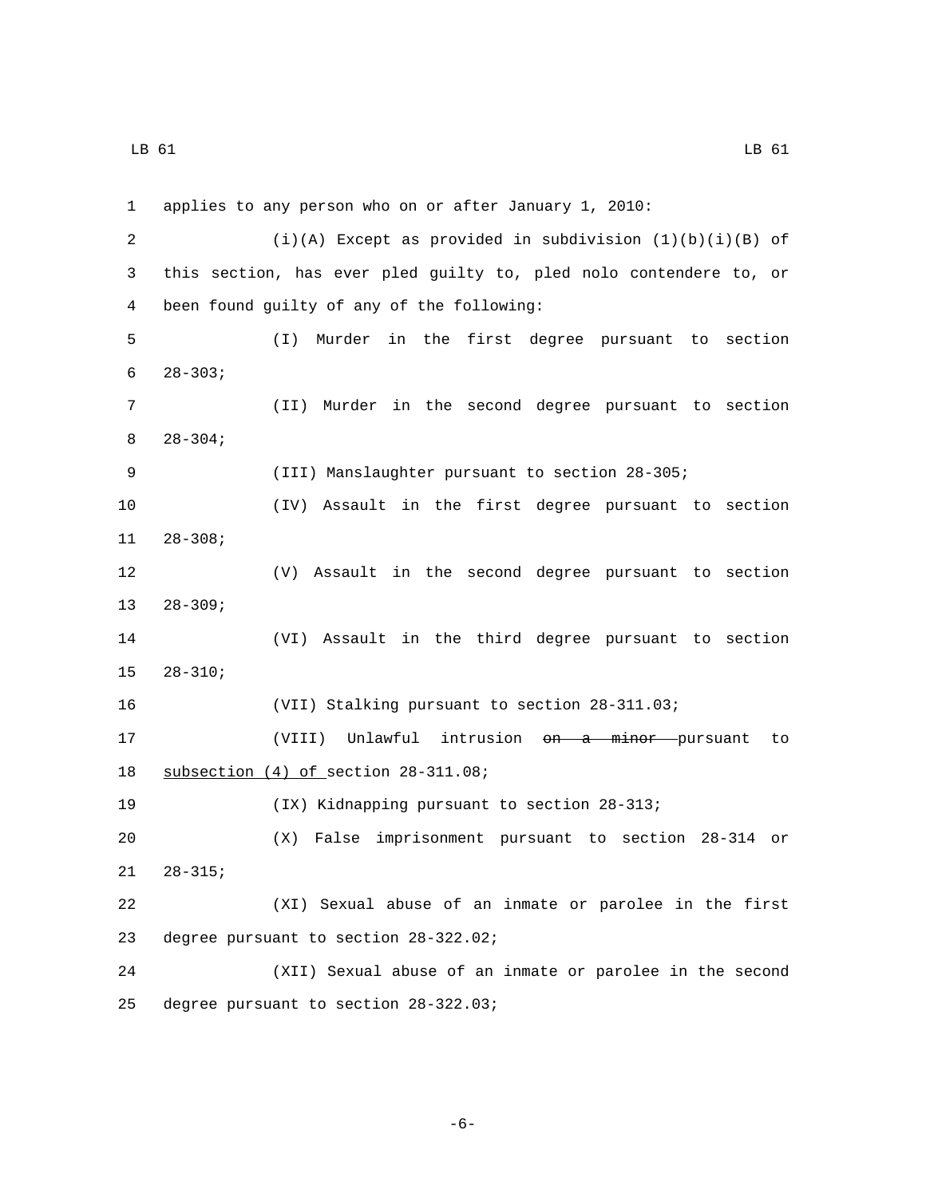LB 61 LB 61

 applies to any person who on or after January 1, 2010: (i)(A) Except as provided in subdivision (1)(b)(i)(B) of this section, has ever pled guilty to, pled nolo contendere to, or been found guilty of any of the following:4 (I) Murder in the first degree pursuant to section  $6 \qquad 28-303;$  (II) Murder in the second degree pursuant to section  $8\qquad 28-304;$  (III) Manslaughter pursuant to section 28-305; (IV) Assault in the first degree pursuant to section  $11 28 - 308;$  (V) Assault in the second degree pursuant to section  $28-309;$  (VI) Assault in the third degree pursuant to section  $28-310;$  (VII) Stalking pursuant to section 28-311.03; (VIII) Unlawful intrusion on a minor pursuant to 18 subsection (4) of section 28-311.08; (IX) Kidnapping pursuant to section 28-313; (X) False imprisonment pursuant to section 28-314 or  $21 \t 28-315;$  (XI) Sexual abuse of an inmate or parolee in the first 23 degree pursuant to section 28-322.02; (XII) Sexual abuse of an inmate or parolee in the second 25 degree pursuant to section 28-322.03;

-6-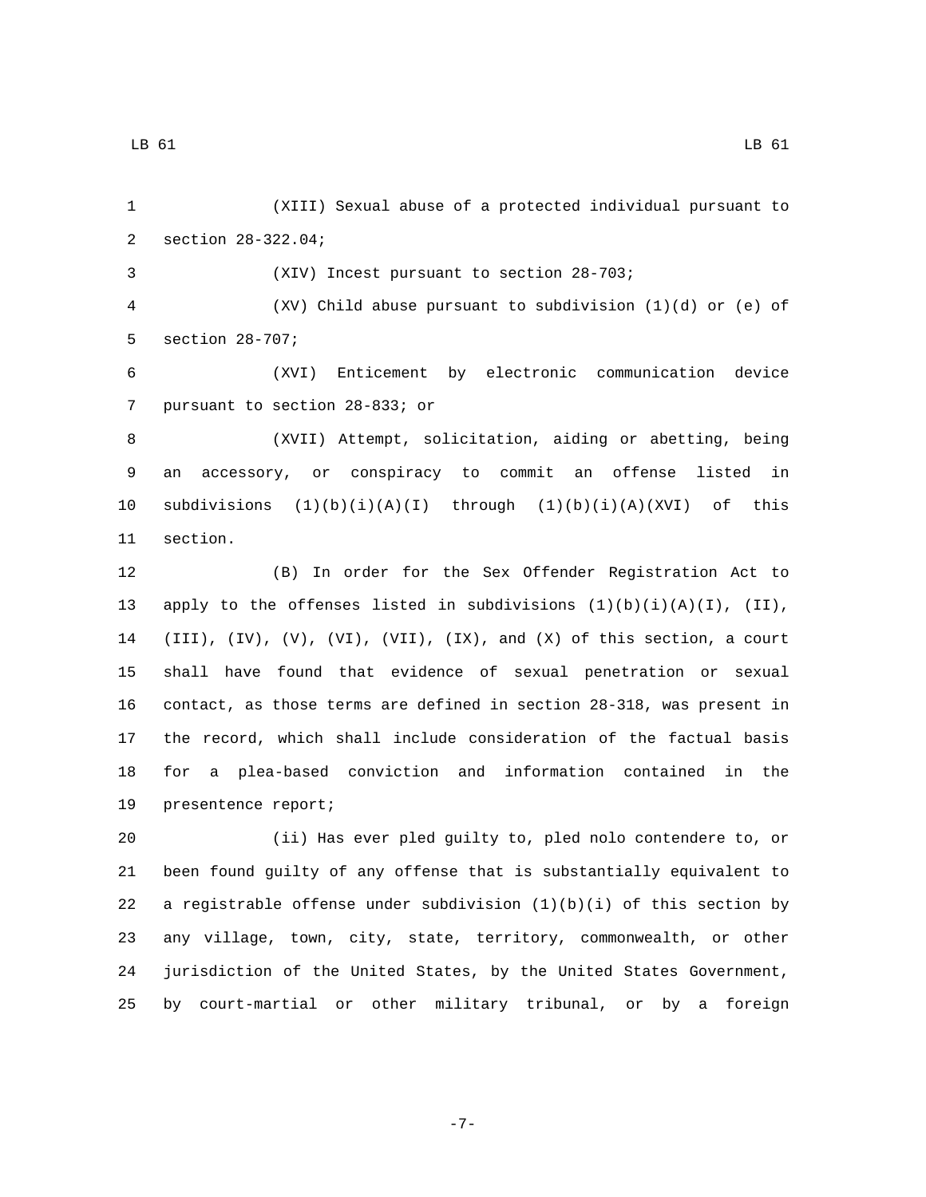(XIII) Sexual abuse of a protected individual pursuant to 2 section 28-322.04;

(XIV) Incest pursuant to section 28-703;

 (XV) Child abuse pursuant to subdivision (1)(d) or (e) of 5 section 28-707;

 (XVI) Enticement by electronic communication device 7 pursuant to section 28-833; or

 (XVII) Attempt, solicitation, aiding or abetting, being an accessory, or conspiracy to commit an offense listed in 10 subdivisions  $(1)(b)(i)(A)(I)$  through  $(1)(b)(i)(A)(XVI)$  of this 11 section.

 (B) In order for the Sex Offender Registration Act to 13 apply to the offenses listed in subdivisions  $(1)(b)(i)(A)(I)$ ,  $(II)$ , (III), (IV), (V), (VI), (VII), (IX), and (X) of this section, a court shall have found that evidence of sexual penetration or sexual contact, as those terms are defined in section 28-318, was present in the record, which shall include consideration of the factual basis for a plea-based conviction and information contained in the 19 presentence report;

 (ii) Has ever pled guilty to, pled nolo contendere to, or been found guilty of any offense that is substantially equivalent to 22 a registrable offense under subdivision  $(1)(b)(i)$  of this section by any village, town, city, state, territory, commonwealth, or other jurisdiction of the United States, by the United States Government, by court-martial or other military tribunal, or by a foreign

-7-